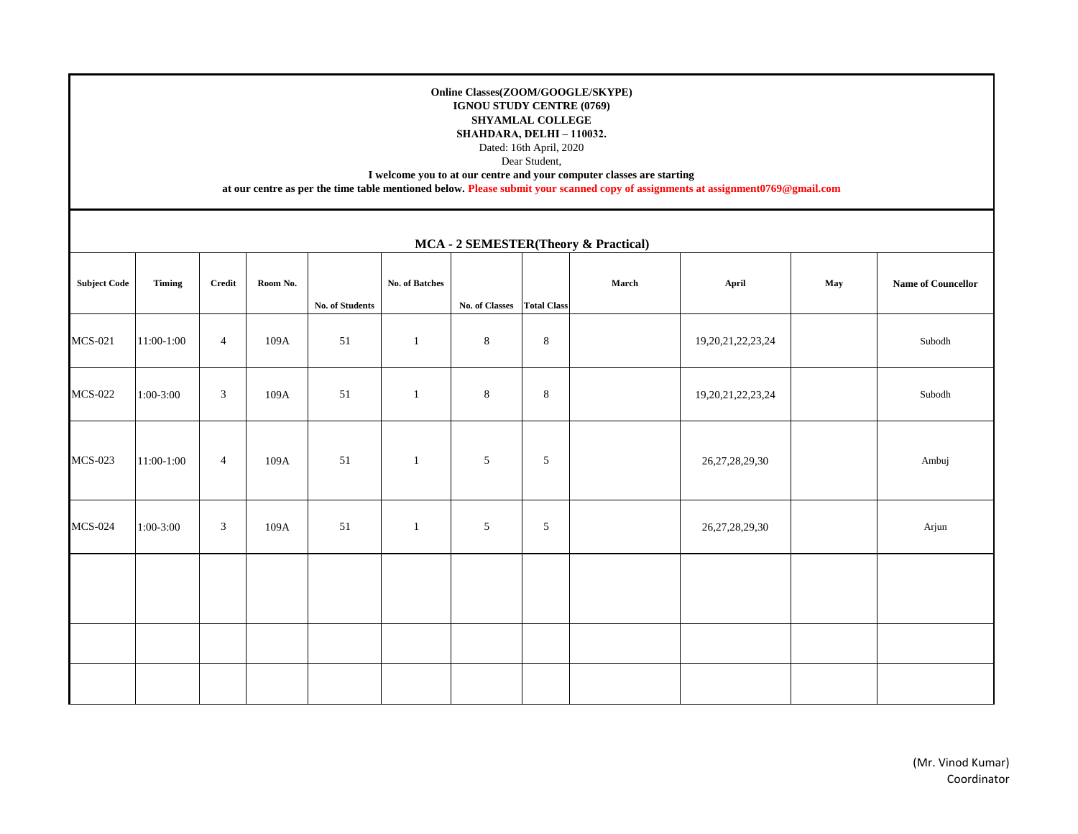## **Online Classes(ZOOM/GOOGLE/SKYPE) IGNOU STUDY CENTRE (0769) SHYAMLAL COLLEGE SHAHDARA, DELHI – 110032.**

Dated: 16th April, 2020

Dear Student,

**I welcome you to at our centre and your computer classes are starting** 

**at our centre as per the time table mentioned below. Please submit your scanned copy of assignments at assignment0769@gmail.com**

| MCA - 2 SEMESTER (Theory & Practical) |               |                |          |                 |                |                            |            |       |                        |     |                                  |
|---------------------------------------|---------------|----------------|----------|-----------------|----------------|----------------------------|------------|-------|------------------------|-----|----------------------------------|
| <b>Subject Code</b>                   | <b>Timing</b> | Credit         | Room No. | No. of Students | No. of Batches | No. of Classes Total Class |            | March | April                  | May | Name of Councellor               |
| <b>MCS-021</b>                        | 11:00-1:00    | $\overline{4}$ | 109A     | 51              | $\mathbf{1}$   | $\,8\,$                    | $\,8\,$    |       | 19, 20, 21, 22, 23, 24 |     | $\operatorname{\mathsf{Subodh}}$ |
| <b>MCS-022</b>                        | $1:00-3:00$   | 3              | 109A     | 51              | $\mathbf{1}$   | $\,8\,$                    | $\,8\,$    |       | 19, 20, 21, 22, 23, 24 |     | Subodh                           |
| <b>MCS-023</b>                        | 11:00-1:00    | $\overline{4}$ | 109A     | 51              | $\mathbf{1}$   | $\sqrt{5}$                 | 5          |       | 26, 27, 28, 29, 30     |     | Ambuj                            |
| <b>MCS-024</b>                        | $1:00-3:00$   | 3              | 109A     | 51              | $\mathbf{1}$   | $\sqrt{5}$                 | $\sqrt{5}$ |       | 26, 27, 28, 29, 30     |     | Arjun                            |
|                                       |               |                |          |                 |                |                            |            |       |                        |     |                                  |
|                                       |               |                |          |                 |                |                            |            |       |                        |     |                                  |
|                                       |               |                |          |                 |                |                            |            |       |                        |     |                                  |

**MCA - 2 SEMESTER(Theory & Practical)**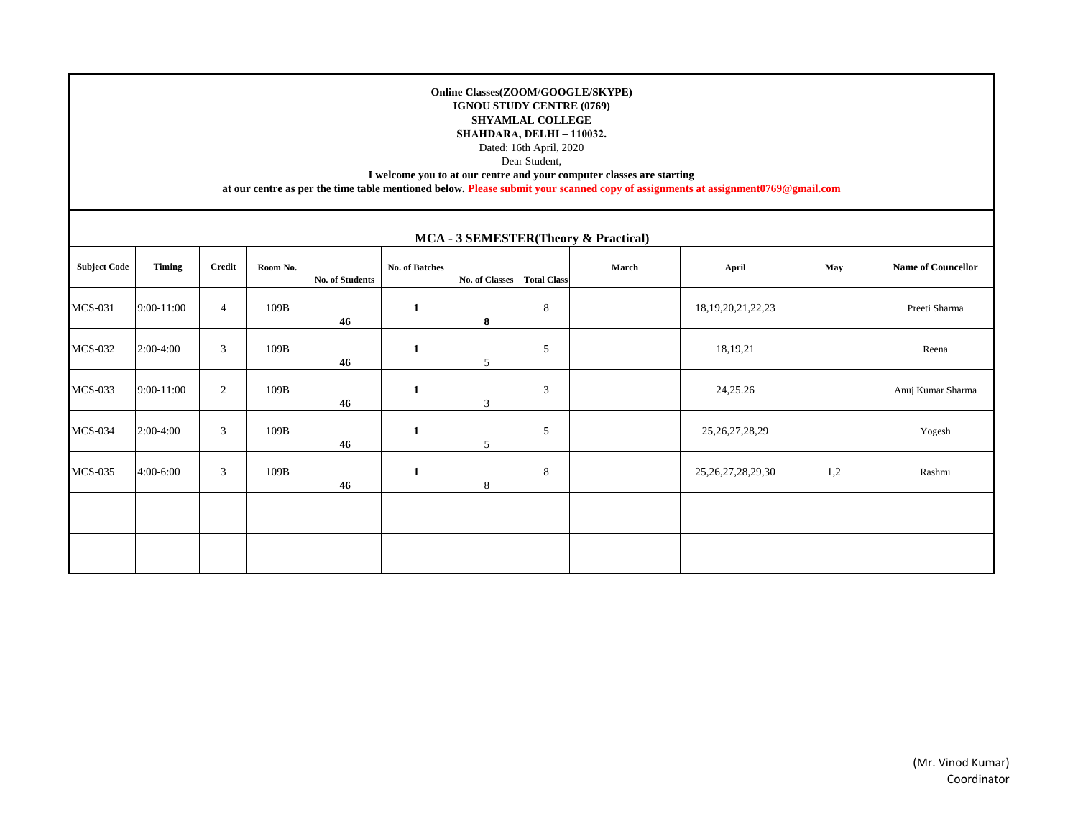## **Online Classes(ZOOM/GOOGLE/SKYPE) IGNOU STUDY CENTRE (0769) SHYAMLAL COLLEGE SHAHDARA, DELHI – 110032.**

Dated: 16th April, 2020

Dear Student,

**I welcome you to at our centre and your computer classes are starting** 

**at our centre as per the time table mentioned below. Please submit your scanned copy of assignments at assignment0769@gmail.com**

| <b>MCA - 3 SEMESTER(Theory &amp; Practical)</b> |            |                |          |                        |                |                       |                    |       |                        |     |                           |  |
|-------------------------------------------------|------------|----------------|----------|------------------------|----------------|-----------------------|--------------------|-------|------------------------|-----|---------------------------|--|
| <b>Subject Code</b>                             | Timing     | Credit         | Room No. | <b>No. of Students</b> | No. of Batches | <b>No. of Classes</b> | <b>Total Class</b> | March | April                  | May | <b>Name of Councellor</b> |  |
| <b>MCS-031</b>                                  | 9:00-11:00 | $\overline{4}$ | 109B     | 46                     | $\mathbf{1}$   | 8                     | 8                  |       | 18, 19, 20, 21, 22, 23 |     | Preeti Sharma             |  |
| <b>MCS-032</b>                                  | 2:00-4:00  | 3              | 109B     | 46                     | $\mathbf{1}$   | 5                     | 5                  |       | 18,19,21               |     | Reena                     |  |
| <b>MCS-033</b>                                  | 9:00-11:00 | 2              | 109B     | 46                     | 1              | 3                     | $\mathfrak{Z}$     |       | 24,25.26               |     | Anuj Kumar Sharma         |  |
| <b>MCS-034</b>                                  | 2:00-4:00  | 3              | 109B     | 46                     | $\mathbf{1}$   | 5                     | 5                  |       | 25, 26, 27, 28, 29     |     | Yogesh                    |  |
| <b>MCS-035</b>                                  | 4:00-6:00  | 3              | 109B     | 46                     | 1              | 8                     | 8                  |       | 25, 26, 27, 28, 29, 30 | 1,2 | Rashmi                    |  |
|                                                 |            |                |          |                        |                |                       |                    |       |                        |     |                           |  |
|                                                 |            |                |          |                        |                |                       |                    |       |                        |     |                           |  |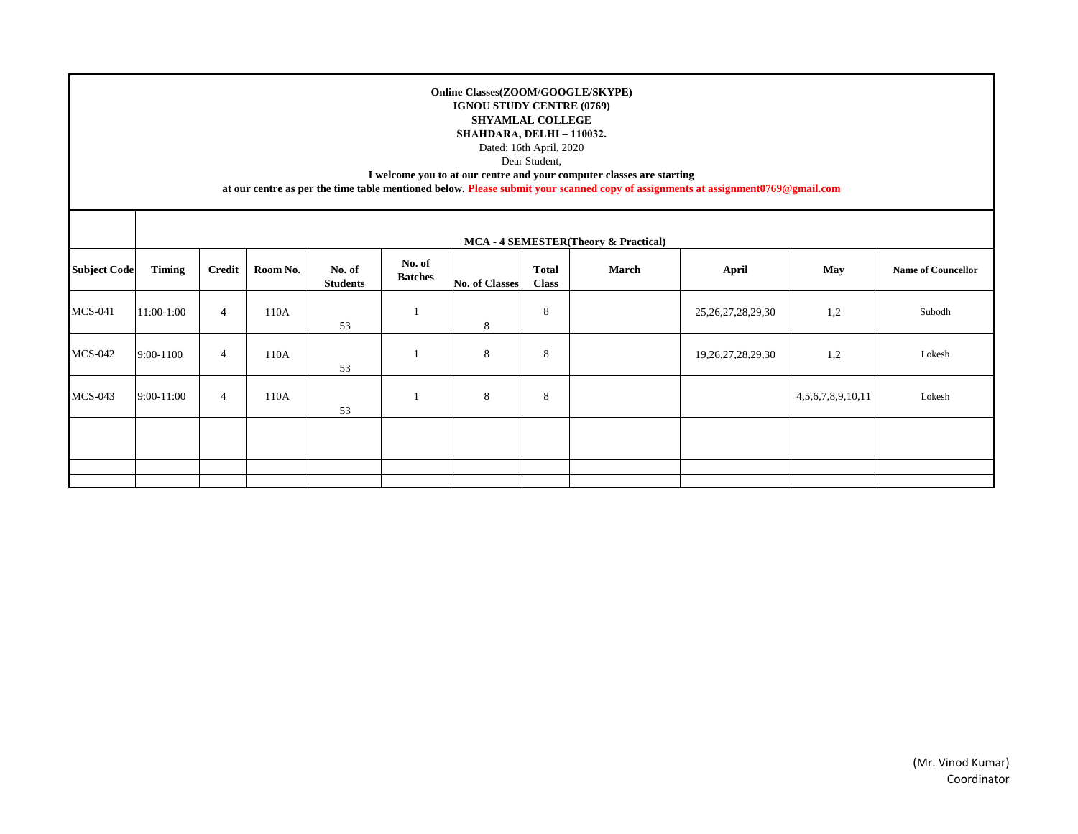## **Online Classes(ZOOM/GOOGLE/SKYPE) IGNOU STUDY CENTRE (0769) SHYAMLAL COLLEGE SHAHDARA, DELHI – 110032.**

Dated: 16th April, 2020

Dear Student,

**I welcome you to at our centre and your computer classes are starting** 

**at our centre as per the time table mentioned below. Please submit your scanned copy of assignments at assignment0769@gmail.com**

|                     | MCA - 4 SEMESTER(Theory & Practical) |                |          |                           |                          |                |                              |       |                        |                          |                           |  |
|---------------------|--------------------------------------|----------------|----------|---------------------------|--------------------------|----------------|------------------------------|-------|------------------------|--------------------------|---------------------------|--|
| <b>Subject Code</b> | <b>Timing</b>                        | Credit         | Room No. | No. of<br><b>Students</b> | No. of<br><b>Batches</b> | No. of Classes | <b>Total</b><br><b>Class</b> | March | April                  | May                      | <b>Name of Councellor</b> |  |
| <b>MCS-041</b>      | 11:00-1:00                           | $\overline{4}$ | 110A     | 53                        |                          | 8              | 8                            |       | 25, 26, 27, 28, 29, 30 | 1,2                      | Subodh                    |  |
| <b>MCS-042</b>      | 9:00-1100                            | $\overline{4}$ | 110A     | 53                        |                          | 8              | 8                            |       | 19, 26, 27, 28, 29, 30 | 1,2                      | Lokesh                    |  |
| $MCS-043$           | 9:00-11:00                           | 4              | 110A     | 53                        |                          | 8              | 8                            |       |                        | 4, 5, 6, 7, 8, 9, 10, 11 | Lokesh                    |  |
|                     |                                      |                |          |                           |                          |                |                              |       |                        |                          |                           |  |
|                     |                                      |                |          |                           |                          |                |                              |       |                        |                          |                           |  |